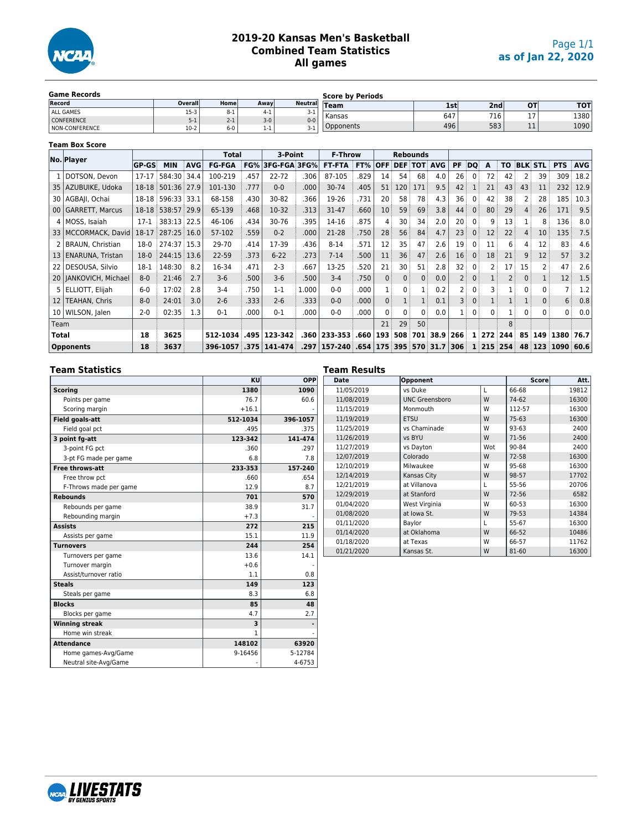

#### **2019-20 Kansas Men's Basketball Combined Team Statistics All games**

| <b>Game Records</b>   |         |         |       |                | <b>Score by Periods</b> |     |      |                   |      |
|-----------------------|---------|---------|-------|----------------|-------------------------|-----|------|-------------------|------|
| Record                | Overall | Home    | Away  | <b>Neutral</b> | $T$ eam                 | 1st | 2nd  | <b>OT</b>         | тот  |
| ALL GAMES             | $15-3$  | $8 - 1$ | 4-1   | 3-1            | l Kansas                | 647 | 716. | $\sim$            | 1380 |
| <b>CONFERENCE</b>     | $5-1$   | $2 - 1$ | $3-0$ | $0 - 0$        |                         |     |      | - 1               |      |
| <b>NON-CONFERENCE</b> | $10-2$  | $6-0$   | 1-1   | $3-1$          | Opponents               | 496 | 583  | - -<br><b>. .</b> | 1090 |

#### **Team Box Score**

|                 | No. Player              |              |             |            | Total         |      | 3-Point             |       | <b>F-Throw</b> |                   | <b>Rebounds</b><br><b>DEF TOT AVG</b> |     |              |            |    |              |       |           |    |                |                   |            |
|-----------------|-------------------------|--------------|-------------|------------|---------------|------|---------------------|-------|----------------|-------------------|---------------------------------------|-----|--------------|------------|----|--------------|-------|-----------|----|----------------|-------------------|------------|
|                 |                         | <b>GP-GS</b> | <b>MIN</b>  | <b>AVG</b> | <b>FG-FGA</b> | FG%  | <b>3FG-FGA 3FG%</b> |       | <b>FT-FTA</b>  | FT%               | <b>OFF</b>                            |     |              |            | PF | <b>DO</b>    | A     | ΤO        |    | <b>BLK STL</b> | <b>PTS</b>        | <b>AVG</b> |
|                 | DOTSON, Devon           | $17-17$      | 584:30 34.4 |            | 100-219       | .457 | 22-72               | .306  | 87-105         | .829              | 14                                    | 54  | 68           | 4.0        | 26 | $\Omega$     | 72    | 42        | 2  | 39             | 309               | 18.2       |
| 35              | AZUBUIKE, Udoka         | 18-18        | 501:36 27.9 |            | 101-130       | .777 | $0 - 0$             | .000  | 30-74          | .405              | 51                                    | 120 | 171          | 9.5        | 42 |              | 21    | 43        | 43 | 11             | 232               | 12.9       |
|                 | 30   AGBAJI, Ochai      | 18-18        | 596:33 33.1 |            | 68-158        | .430 | 30-82               | .366  | 19-26          | .731              | 20                                    | 58  | 78           | 4.3        | 36 | 0            | 42    | 38        | 2  | 28             | 185               | 10.3       |
|                 | 00   GARRETT, Marcus    | 18-18        | 538:57 29.9 |            | 65-139        | .468 | 10-32               | .313  | 31-47          | .660              | 10                                    | 59  | 69           | 3.8        | 44 | $\mathbf{0}$ | 80    | 29        | 4  | 26             | 171               | 9.5        |
|                 | 4   MOSS, Isaiah        | $17-1$       | 383:13 22.5 |            | 46-106        | .434 | 30-76               | .395  | 14-16          | .875              | 4                                     | 30  | 34           | 2.0        | 20 | 0            | q     | 13        |    |                | 136               | 8.0        |
| 331             | MCCORMACK, David        | 18-17        | 287:25 16.0 |            | 57-102        | .559 | $0 - 2$             | .000  | 21-28          | .750              | 28                                    | 56  | 84           | 4.7        | 23 | $\mathbf{0}$ | 12    | 22        | 4  | 10             | 135               | 7.5        |
|                 | BRAUN, Christian        | $18-0$       | 274:37 15.3 |            | 29-70         | .414 | 17-39               | .436  | $8 - 14$       | .571              | 12                                    | 35  | 47           | 2.6        | 19 | 0            | 11    | 6         | 4  | 12             | 83                | 4.6        |
| 13              | ENARUNA, Tristan        | $18-0$       | 244:15 13.6 |            | 22-59         | .373 | $6 - 22$            | .273  | $7 - 14$       | .500              | 11                                    | 36  | 47           | 2.6        | 16 | $\mathbf{0}$ | 18    | 21        | 9  | 12             | 57                | 3.2        |
| 22              | DESOUSA, Silvio         | $18-1$       | 148:30      | 8.2        | 16-34         | .471 | $2 - 3$             | .667  | 13-25          | .520              | 21                                    | 30  | 51           | 2.8        | 32 | $\mathbf{0}$ |       | 17        | 15 | 2              | 47                | 2.6        |
|                 | 20   JANKOVICH, Michael | $8-0$        | 21:46       | 2.7        | $3-6$         | .500 | $3-6$               | .500  | $3 - 4$        | .750              | $\mathbf{0}$                          | 0   | $\mathbf{0}$ | 0.0        |    | $\mathbf{0}$ |       |           | 0  |                | 12                | 1.5        |
|                 | 5 ELLIOTT, Elijah       | $6 - 0$      | 17:02       | 2.8        | $3 - 4$       | .750 | $1 - 1$             | 1.000 | $0 - 0$        | .000              |                                       |     |              | 0.2        |    | $\Omega$     |       |           | 0  | 0              |                   | 1.2        |
| 12              | TEAHAN, Chris           | $8 - 0$      | 24:01       | 3.0        | $2 - 6$       | .333 | $2 - 6$             | .333  | $0 - 0$        | .000              | $\mathbf{0}$                          |     |              | 0.1        | 3  | $\Omega$     |       |           |    |                | 6                 | 0.8        |
| 10 <sub>1</sub> | WILSON, Jalen           | $2 - 0$      | 02:35       | 1.3        | $0 - 1$       | .000 | $0 - 1$             | .000  | $0 - 0$        | .000              | $\Omega$                              |     | $\Omega$     | 0.0        |    | $\mathbf{0}$ | 0     |           | 0  | $\Omega$       | $0^{\frac{1}{2}}$ | 0.0        |
| Team            |                         |              |             |            |               |      |                     |       |                |                   | 21                                    | 29  | 50           |            |    |              |       | 8         |    |                |                   |            |
| Total           |                         | 18           | 3625        |            | 512-1034      | .495 | 123-342             | .360  | 233-353        | .660 <sub>1</sub> | 193                                   | 508 | 701          | 38.9 266   |    |              |       | 1 272 244 | 85 | 149            | 1380              | 76.7       |
|                 | <b>Opponents</b>        | 18           | 3637        |            | 396-1057      | .375 | 141-474             | .297  | 157-240 .654   |                   | 175                                   | 395 | 570          | $31.7$ 306 |    |              | 1 215 | 254       | 48 | 123            | 1090 60.6         |            |

#### **Team Statistics**

|                        | KU       | <b>OPP</b> |
|------------------------|----------|------------|
| <b>Scoring</b>         | 1380     | 1090       |
| Points per game        | 76.7     | 60.6       |
| Scoring margin         | $+16.1$  |            |
| <b>Field goals-att</b> | 512-1034 | 396-1057   |
| Field goal pct         | .495     | .375       |
| 3 point fq-att         | 123-342  | 141-474    |
| 3-point FG pct         | .360     | .297       |
| 3-pt FG made per game  | 6.8      | 7.8        |
| <b>Free throws-att</b> | 233-353  | 157-240    |
| Free throw pct         | .660     | .654       |
| F-Throws made per game | 12.9     | 8.7        |
| <b>Rebounds</b>        | 701      | 570        |
| Rebounds per game      | 38.9     | 31.7       |
| Rebounding margin      | $+7.3$   |            |
| <b>Assists</b>         | 272      | 215        |
| Assists per game       | 15.1     | 11.9       |
| <b>Turnovers</b>       | 244      | 254        |
| Turnovers per game     | 13.6     | 14.1       |
| Turnover margin        | $+0.6$   |            |
| Assist/turnover ratio  | 1.1      | 0.8        |
| <b>Steals</b>          | 149      | 123        |
| Steals per game        | 8.3      | 6.8        |
| <b>Blocks</b>          | 85       | 48         |
| Blocks per game        | 4.7      | 2.7        |
| <b>Winning streak</b>  | 3        |            |
| Home win streak        | 1        |            |
| <b>Attendance</b>      | 148102   | 63920      |
| Home games-Avg/Game    | 9-16456  | 5-12784    |
| Neutral site-Avg/Game  |          | 4-6753     |

#### **Team Results Date Opponent Score Att.** 11/05/2019 vs Duke L 66-68 19812 11/08/2019 | UNC Greensboro | W | 74-62 | 16300 11/15/2019 | Monmouth | W | 112-57 | 16300 11/19/2019 | ETSU | W | 75-63 | 16300 11/25/2019 vs Chaminade W 93-63 2400<br>11/26/2019 vs BYU W 71-56 2400 11/26/2019 11/27/2019 vs Dayton Vot | 90-84 | 2400 12/07/2019 | Colorado | W | 72-58 | 16300 12/10/2019 | Milwaukee W 95-68 | 16300 12/14/2019 | Kansas City | W | 98-57 | 17702<br>12/21/2019 | at Villanova | L | 55-56 | 20706 12/21/2019 at Villanova L 55-56 12/29/2019 at Stanford W 72-56 6582 01/04/2020 West Virginia W 60-53 16300<br>01/08/2020 at lowa St. W 79-53 14384 01/08/2020 at Iowa St. W 79-53 14384 01/11/2020 Baylor L 55-67 16300<br>01/14/2020 at Oklahoma W 66-52 10486 01/14/2020 at Oklahoma W 66-52 01/18/2020 at Texas W 66-57 11762<br>01/21/2020 6 Kansas St. W 81-60 16300  $01/21/2020$

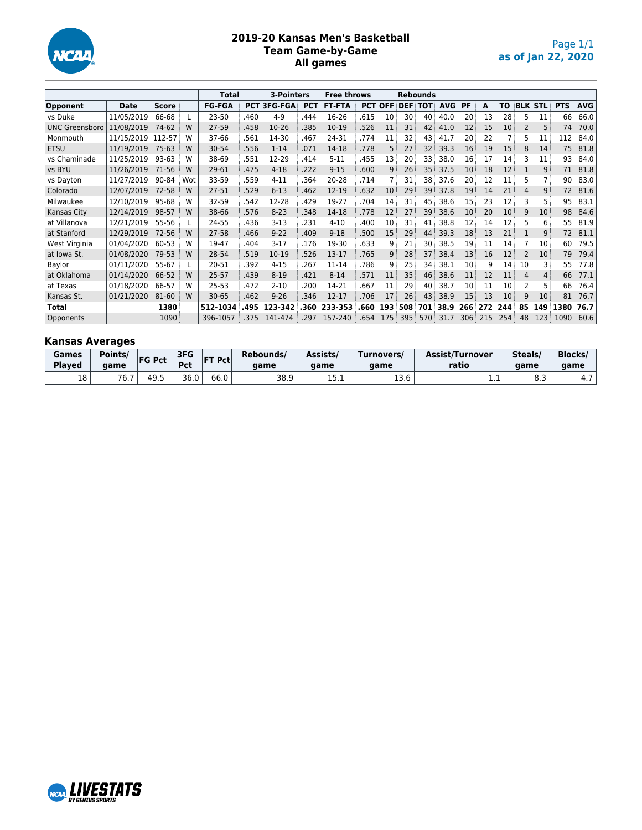

#### **2019-20 Kansas Men's Basketball Team Game-by-Game All games**

|                       |             |              |     | <b>Total</b>  |            | 3-Pointers     |            | <b>Free throws</b> |            | <b>Rebounds</b> |                |     |            |     |     |                 |    |                |            |            |
|-----------------------|-------------|--------------|-----|---------------|------------|----------------|------------|--------------------|------------|-----------------|----------------|-----|------------|-----|-----|-----------------|----|----------------|------------|------------|
| Opponent              | <b>Date</b> | <b>Score</b> |     | <b>FG-FGA</b> | <b>PCT</b> | <b>3FG-FGA</b> | <b>PCT</b> | <b>FT-FTA</b>      | <b>PCT</b> | <b>OFF</b>      | <b>DEF TOT</b> |     | <b>AVG</b> | PF  | A   | ΤO              |    | <b>BLK STL</b> | <b>PTS</b> | <b>AVG</b> |
| vs Duke               | 11/05/2019  | 66-68        |     | 23-50         | .460       | $4 - 9$        | .444       | 16-26              | .615       | 10              | 30             | 40  | 40.0       | 20  | 13  | 28              | 5. | 11             | 66         | 66.0       |
| <b>UNC Greensboro</b> | 11/08/2019  | 74-62        | W   | 27-59         | .458       | 10-26          | .385       | 10-19              | .526       | 11              | 31             | 42  | 41.0       | 12  | 15  | 10 <sup>°</sup> |    | 5              | 74         | 70.0       |
| Monmouth              | 11/15/2019  | 112-57       | W   | 37-66         | .561       | 14-30          | .467       | 24-31              | .774       | 11              | 32             | 43  | 41.7       | 20  | 22  |                 | 5  | 11             | 112        | 84.0       |
| <b>ETSU</b>           | 11/19/2019  | 75-63        | W   | 30-54         | .556       | $1 - 14$       | .071       | 14-18              | .778       | 5               | 27             | 32  | 39.3       | 16  | 19  | 15              | 8  | 14             | 75         | 81.8       |
| vs Chaminade          | 11/25/2019  | 93-63        | W   | 38-69         | 551        | 12-29          | .414       | $5 - 11$           | .455       | 13              | 20             | 33  | 38.0       | 16  | 17  | 14              | 3  | 11             | 93         | 84.0       |
| vs BYU                | 11/26/2019  | 71-56        | W   | 29-61         | .475       | $4 - 18$       | .222       | $9 - 15$           | .600       | 9               | 26             | 35  | 37.5       | 10  | 18  | 12              |    | 9              | 71         | 81.8       |
| vs Dayton             | 11/27/2019  | 90-84        | Wot | 33-59         | .559       | $4 - 11$       | .364       | 20-28              | .714       |                 | 31             | 38  | 37.6       | 20  | 12  | 11              | 5  |                | 90         | 83.0       |
| Colorado              | 12/07/2019  | $72 - 58$    | W   | 27-51         | .529       | $6 - 13$       | .462       | 12-19              | .632       | 10              | 29             | 39  | 37.8       | 19  | 14  | 21              | 4  | 9              | 72         | 81.6       |
| Milwaukee             | 12/10/2019  | 95-68        | W   | $32 - 59$     | .542       | 12-28          | .429       | 19-27              | .704       | 14              | 31             | 45  | 38.6       | 15  | 23  | 12              |    | 5              | 95         | 83.1       |
| Kansas City           | 12/14/2019  | 98-57        | W   | 38-66         | 576        | $8 - 23$       | .348       | 14-18              | .778       | 12              | 27             | 39  | 38.6       | 10  | 20  | 10 <sup>°</sup> | 9  | 10             | 98         | 84.6       |
| at Villanova          | 12/21/2019  | 55-56        |     | 24-55         | .436       | $3-13$         | .231       | $4 - 10$           | .400       | 10              | 31             | 41  | 38.8       | 12  | 14  | 12              | 5  | 6              | 55         | 81.9       |
| at Stanford           | 12/29/2019  | $72 - 56$    | W   | 27-58         | .466       | $9 - 22$       | .409       | $9 - 18$           | .500       | 15              | 29             | 44  | 39.3       | 18  | 13  | 21              |    | 9              | 72         | 81.1       |
| West Virginia         | 01/04/2020  | 60-53        | W   | 19-47         | .404       | $3 - 17$       | .176       | 19-30              | .633       | 9               | 21             | 30  | 38.5       | 19  | 11  | 14              |    | 10             | 60         | 79.5       |
| at Iowa St.           | 01/08/2020  | 79-53        | W   | 28-54         | .519       | 10-19          | .526       | 13-17              | .765       | 9               | 28             | 37  | 38.4       | 13  | 16  | 12              | 2  | 10             | 79         | 79.4       |
| Baylor                | 01/11/2020  | 55-67        |     | 20-51         | .392       | $4 - 15$       | .267       | 11-14              | .786       | 9               | 25             | 34  | 38.1       | 10  | 9   | 14              | 10 | 3              | 55         | 77.8       |
| at Oklahoma           | 01/14/2020  | 66-52        | W   | $25 - 57$     | .439       | $8 - 19$       | .421       | $8 - 14$           | .571       | 11              | 35             | 46  | 38.6       | 11  | 12  | 11              | 4  | 4              | 66         | 77.1       |
| at Texas              | 01/18/2020  | 66-57        | W   | 25-53         | .472       | $2 - 10$       | .200       | 14-21              | .667       | 11              | 29             | 40  | 38.7       | 10  | 11  | 10              | 2  |                | 66         | 76.4       |
| Kansas St.            | 01/21/2020  | 81-60        | W   | $30 - 65$     | .462       | $9 - 26$       | .346       | 12-17              | .706       | 17              | 26             | 43  | 38.9       | 15  | 13  | 10              | 9  | 10             | 81         | 76.7       |
| <b>Total</b>          |             | 1380         |     | 512-1034      | .495       | 123-342        | .360       | 233-353            | .660       | 193             | 508            | 701 | 38.9       | 266 | 272 | 244             | 85 | 149            | 1380       | 76.7       |
| Opponents             |             | 1090         |     | 396-1057      | .375       | 141-474        | .297       | 157-240            | .654       | 175             | 395            | 570 | 31.7       | 306 | 215 | 254             | 48 | 123            | 1090       | 60.6       |

# **Kansas Averages**

| Games<br><b>Plaved</b> | Points/<br>aame | <b>FG Pctl</b> | 3FG<br>Pct | <b>FT Pct</b> | Rebounds/<br>aame | Assists/<br>aame | Turnovers/<br>aame | <b>Assist/Turnover</b><br>ratio | Steals/<br>aame | <b>Blocks</b><br>aame |
|------------------------|-----------------|----------------|------------|---------------|-------------------|------------------|--------------------|---------------------------------|-----------------|-----------------------|
| 18                     | 76.7            | د.49           | 36.0       | 66.0          | 38.9              | .                | 12C<br>⊥J.∪        | .                               | ັບ.             |                       |

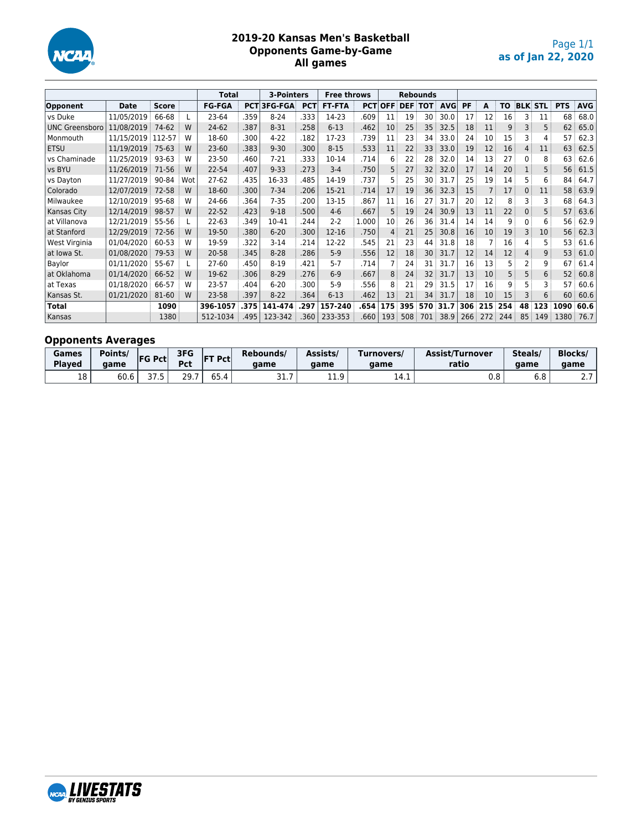

## **2019-20 Kansas Men's Basketball Opponents Game-by-Game All games**

|                       |             |              |     | <b>Total</b>  |      | 3-Pointers         |            | <b>Free throws</b> |       | <b>Rebounds</b><br><b>PCTIOFF DEF TOT</b> |     |     |            |     |     |     |              |                |            |            |
|-----------------------|-------------|--------------|-----|---------------|------|--------------------|------------|--------------------|-------|-------------------------------------------|-----|-----|------------|-----|-----|-----|--------------|----------------|------------|------------|
| Opponent              | <b>Date</b> | <b>Score</b> |     | <b>FG-FGA</b> |      | <b>PCT 3FG-FGA</b> | <b>PCT</b> | <b>FT-FTA</b>      |       |                                           |     |     | <b>AVG</b> | PF  | A   | TO  |              | <b>BLK STL</b> | <b>PTS</b> | <b>AVG</b> |
| vs Duke               | 11/05/2019  | 66-68        |     | 23-64         | .359 | $8 - 24$           | .333       | 14-23              | .609  | 11                                        | 19  | 30  | 30.0       | 17  | 12  | 16  | 3            | 11             | 68         | 68.0       |
| <b>UNC Greensboro</b> | 11/08/2019  | 74-62        | W   | 24-62         | .387 | $8 - 31$           | .258       | $6 - 13$           | .462  | 10                                        | 25  | 35  | 32.5       | 18  | 11  | 9   | 3            | 5              | 62         | 65.0       |
| Monmouth              | 11/15/2019  | 112-57       | W   | 18-60         | .300 | $4 - 22$           | .182       | $17-23$            | .739  | 11                                        | 23  | 34  | 33.0       | 24  | 10  | 15  | 3            | 4              | 57         | 62.3       |
| <b>ETSU</b>           | 11/19/2019  | $75-63$      | W   | $23 - 60$     | .383 | $9 - 30$           | .300       | $8 - 15$           | .533  | 11                                        | 22  | 33  | 33.0       | 19  | 12  | 16  | 4            | 11             | 63         | 62.5       |
| vs Chaminade          | 11/25/2019  | 93-63        | W   | 23-50         | .460 | $7 - 21$           | .333       | 10-14              | .714  | 6                                         | 22  | 28  | 32.0       | 14  | 13  | 27  | 0            | 8              | 63         | 62.6       |
| vs BYU                | 11/26/2019  | 71-56        | W   | 22-54         | .407 | $9 - 33$           | .273       | $3-4$              | .750  | 5                                         | 27  | 32  | 32.0       | 17  | 14  | 20  |              | 5              | 56         | 61.5       |
| vs Dayton             | 11/27/2019  | 90-84        | Wot | $27-62$       | .435 | 16-33              | .485       | 14-19              | .737  | 5                                         | 25  | 30  | 31.7       | 25  | 19  | 14  | 5            | 6              | 84         | 64.7       |
| Colorado              | 12/07/2019  | 72-58        | W   | 18-60         | .300 | $7 - 34$           | .206       | 15-21              | .714  | 17                                        | 19  | 36  | 32.3       | 15  | 7   | 17  | $\mathbf{0}$ | 11             | 58         | 63.9       |
| Milwaukee             | 12/10/2019  | 95-68        | W   | 24-66         | .364 | $7 - 35$           | .200       | $13 - 15$          | .867  | 11                                        | 16  | 27  | 31.7       | 20  | 12  | 8   | 3            | 3              | 68         | 64.3       |
| Kansas City           | 12/14/2019  | 98-57        | W   | $22 - 52$     | .423 | $9 - 18$           | .500       | $4-6$              | .667  | 5                                         | 19  | 24  | 30.9       | 13  | 11  | 22  | 0            | 5              | 57         | 63.6       |
| at Villanova          | 12/21/2019  | 55-56        |     | $22 - 63$     | .349 | 10-41              | .244       | $2 - 2$            | 1.000 | 10                                        | 26  | 36  | 31.4       | 14  | 14  | 9   | 0            | 6              | 56         | 62.9       |
| at Stanford           | 12/29/2019  | $72 - 56$    | W   | 19-50         | .380 | $6 - 20$           | .300       | 12-16              | .750  | 4                                         | 21  | 25  | 30.8       | 16  | 10  | 19  | 3            | 10             | 56         | 62.3       |
| West Virginia         | 01/04/2020  | 60-53        | W   | 19-59         | .322 | $3-14$             | .214       | $12 - 22$          | .545  | 21                                        | 23  | 44  | 31.8       | 18  |     | 16  | 4            | 5              | 53         | 61.6       |
| at Iowa St.           | 01/08/2020  | 79-53        | W   | 20-58         | .345 | $8 - 28$           | .286       | $5-9$              | .556  | 12                                        | 18  | 30  | 31.7       | 12  | 14  | 12  | 4            | 9              | 53         | 61.0       |
| Baylor                | 01/11/2020  | 55-67        |     | 27-60         | .450 | $8 - 19$           | .421       | $5 - 7$            | .714  |                                           | 24  | 31  | 31.7       | 16  | 13  | 5.  | 2            | 9              | 67         | 61.4       |
| at Oklahoma           | 01/14/2020  | 66-52        | W   | 19-62         | .306 | $8 - 29$           | .276       | $6-9$              | .667  | 8                                         | 24  | 32  | 31.7       | 13  | 10  | 5   | 5            | 6              | 52         | 60.8       |
| at Texas              | 01/18/2020  | 66-57        | W   | 23-57         | .404 | $6 - 20$           | .300       | $5-9$              | .556  | 8                                         | 21  | 29  | 31.5       | 17  | 16  | 9   | 5            | 3              | 57         | 60.6       |
| Kansas St.            | 01/21/2020  | 81-60        | W   | 23-58         | .397 | $8 - 22$           | .364       | $6 - 13$           | .462  | 13                                        | 21  | 34  | 31.7       | 18  | 10  | 15  |              | 6              | 60         | 60.6       |
| <b>Total</b>          |             | 1090         |     | 396-1057      | .375 | 141-474            | .297       | 157-240            | .654  | 175                                       | 395 | 570 | 31.7       | 306 | 215 | 254 | 48           | 123            | 1090       | 60.6       |
| Kansas                |             | 1380         |     | 512-1034      | .495 | 123-342            | .360       | 233-353            | .660  | 193                                       | 508 | 701 | 38.9       | 266 | 272 | 244 | 85           | 149            | 1380       | 76.7       |

## **Opponents Averages**

| Games<br><b>Played</b> | Points/<br>aame | <b>FG Pctl</b> | 3FG<br>Pct     | <b>FT Pct</b> | Rebounds/<br>aame  | Assists/<br>aame | [urnovers/<br>aame | <b>Assist/Turnover</b><br>ratio | Steals/<br>aame | <b>Blocks</b><br>aame |
|------------------------|-----------------|----------------|----------------|---------------|--------------------|------------------|--------------------|---------------------------------|-----------------|-----------------------|
| 18                     | 60.6            | っっ<br>د. ، د   | <b>20</b><br>. | C E.<br>35.4  | --<br>-<br>، . د ب | 11 Q<br><b></b>  | 14.1               | 0.8                             | 6.8             | $\sim$ $\sim$         |